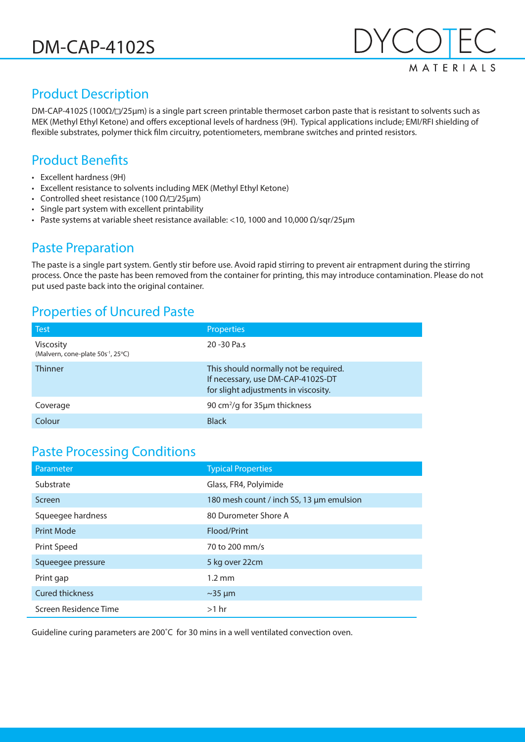

## Product Description

DM-CAP-4102S (100Ω/
I/25µm) is a single part screen printable thermoset carbon paste that is resistant to solvents such as MEK (Methyl Ethyl Ketone) and offers exceptional levels of hardness (9H). Typical applications include; EMI/RFI shielding of flexible substrates, polymer thick film circuitry, potentiometers, membrane switches and printed resistors.

## Product Benefits

- Excellent hardness (9H)
- Excellent resistance to solvents including MEK (Methyl Ethyl Ketone)
- Controlled sheet resistance (100  $\Omega$ / $\square$ /25µm)
- Single part system with excellent printability
- Paste systems at variable sheet resistance available: <10, 1000 and 10,000  $Ω/sqr/25µm$

#### Paste Preparation

The paste is a single part system. Gently stir before use. Avoid rapid stirring to prevent air entrapment during the stirring process. Once the paste has been removed from the container for printing, this may introduce contamination. Please do not put used paste back into the original container.

### Properties of Uncured Paste

| <b>Test</b>                                                        | <b>Properties</b>                                                                                                  |
|--------------------------------------------------------------------|--------------------------------------------------------------------------------------------------------------------|
| <b>Viscosity</b><br>(Malvern, cone-plate 50s <sup>-1</sup> , 25°C) | 20 - 30 Pa.s                                                                                                       |
| <b>Thinner</b>                                                     | This should normally not be required.<br>If necessary, use DM-CAP-4102S-DT<br>for slight adjustments in viscosity. |
| Coverage                                                           | 90 cm <sup>2</sup> /g for 35µm thickness                                                                           |
| Colour                                                             | <b>Black</b>                                                                                                       |

### Paste Processing Conditions

| Parameter              | <b>Typical Properties</b>                |
|------------------------|------------------------------------------|
| Substrate              | Glass, FR4, Polyimide                    |
| Screen                 | 180 mesh count / inch SS, 13 µm emulsion |
| Squeegee hardness      | 80 Durometer Shore A                     |
| <b>Print Mode</b>      | Flood/Print                              |
| Print Speed            | 70 to 200 mm/s                           |
| Squeegee pressure      | 5 kg over 22cm                           |
| Print gap              | $1.2 \text{ mm}$                         |
| <b>Cured thickness</b> | $\sim$ 35 µm                             |
| Screen Residence Time  | $>1$ hr                                  |

Guideline curing parameters are 200˚C for 30 mins in a well ventilated convection oven.